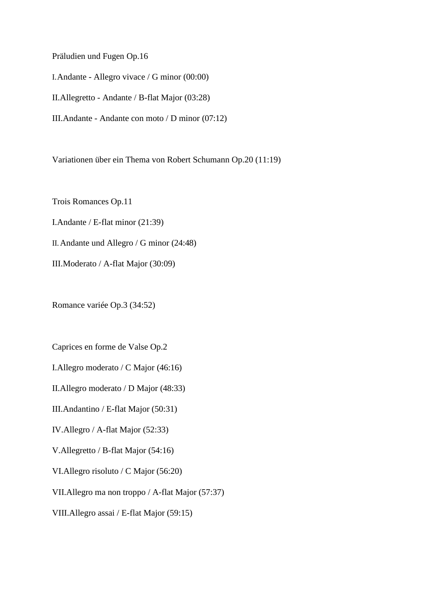Präludien und Fugen Op.16

I.Andante - Allegro vivace / G minor (00:00)

II.Allegretto - Andante / B-flat Major (03:28)

III.Andante - Andante con moto / D minor (07:12)

Variationen über ein Thema von Robert Schumann Op.20 (11:19)

Trois Romances Op.11 I.Andante / E-flat minor (21:39) II.Andante und Allegro / G minor (24:48) III.Moderato / A-flat Major (30:09)

Romance variée Op.3 (34:52)

Caprices en forme de Valse Op.2

I.Allegro moderato / C Major (46:16)

II.Allegro moderato / D Major (48:33)

III.Andantino / E-flat Major (50:31)

IV.Allegro / A-flat Major (52:33)

V.Allegretto / B-flat Major (54:16)

VI.Allegro risoluto / C Major (56:20)

VII.Allegro ma non troppo / A-flat Major (57:37)

VIII.Allegro assai / E-flat Major (59:15)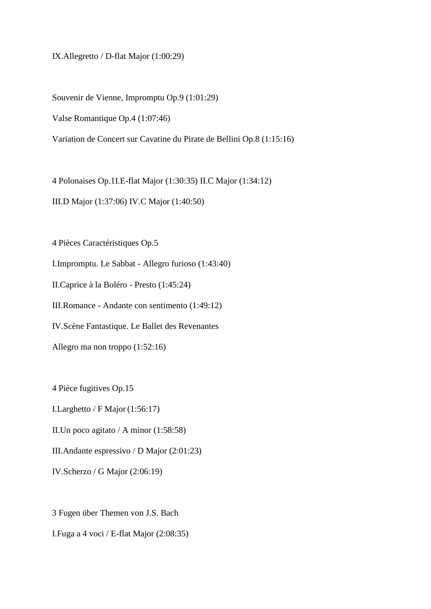IX.Allegretto / D-flat Major (1:00:29)

Souvenir de Vienne, Impromptu Op.9 (1:01:29)

Valse Romantique Op.4 (1:07:46)

Variation de Concert sur Cavatine du Pirate de Bellini Op.8 (1:15:16)

4 Polonaises Op.1I.E-flat Major (1:30:35) II.C Major (1:34:12)

III.D Major (1:37:06) IV.C Major (1:40:50)

4 Pièces Caractéristiques Op.5

I.Impromptu. Le Sabbat - Allegro furioso (1:43:40)

II.Caprice à la Boléro - Presto (1:45:24)

III.Romance - Andante con sentimento (1:49:12)

IV.Scène Fantastique. Le Ballet des Revenantes

Allegro ma non troppo (1:52:16)

4 Pièce fugitives Op.15

I.Larghetto / F Major (1:56:17)

II.Un poco agitato / A minor (1:58:58)

III.Andante espressivo / D Major (2:01:23)

IV.Scherzo / G Major (2:06:19)

3 Fugen über Themen von J.S. Bach I.Fuga a 4 voci / E-flat Major (2:08:35)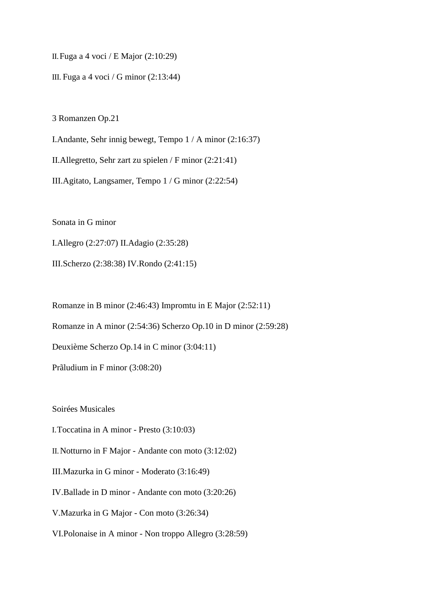II.Fuga a 4 voci / E Major (2:10:29)

III. Fuga a 4 voci / G minor (2:13:44)

3 Romanzen Op.21

I.Andante, Sehr innig bewegt, Tempo 1 / A minor (2:16:37)

II.Allegretto, Sehr zart zu spielen / F minor (2:21:41)

III.Agitato, Langsamer, Tempo 1 / G minor (2:22:54)

Sonata in G minor

I.Allegro (2:27:07) II.Adagio (2:35:28)

III.Scherzo (2:38:38) IV.Rondo (2:41:15)

Romanze in B minor (2:46:43) Impromtu in E Major (2:52:11)

Romanze in A minor (2:54:36) Scherzo Op.10 in D minor (2:59:28)

Deuxième Scherzo Op.14 in C minor (3:04:11)

Prãludium in F minor (3:08:20)

Soirées Musicales

I.Toccatina in A minor - Presto (3:10:03)

II.Notturno in F Major - Andante con moto (3:12:02)

III.Mazurka in G minor - Moderato (3:16:49)

IV.Ballade in D minor - Andante con moto (3:20:26)

V.Mazurka in G Major - Con moto (3:26:34)

VI.Polonaise in A minor - Non troppo Allegro (3:28:59)